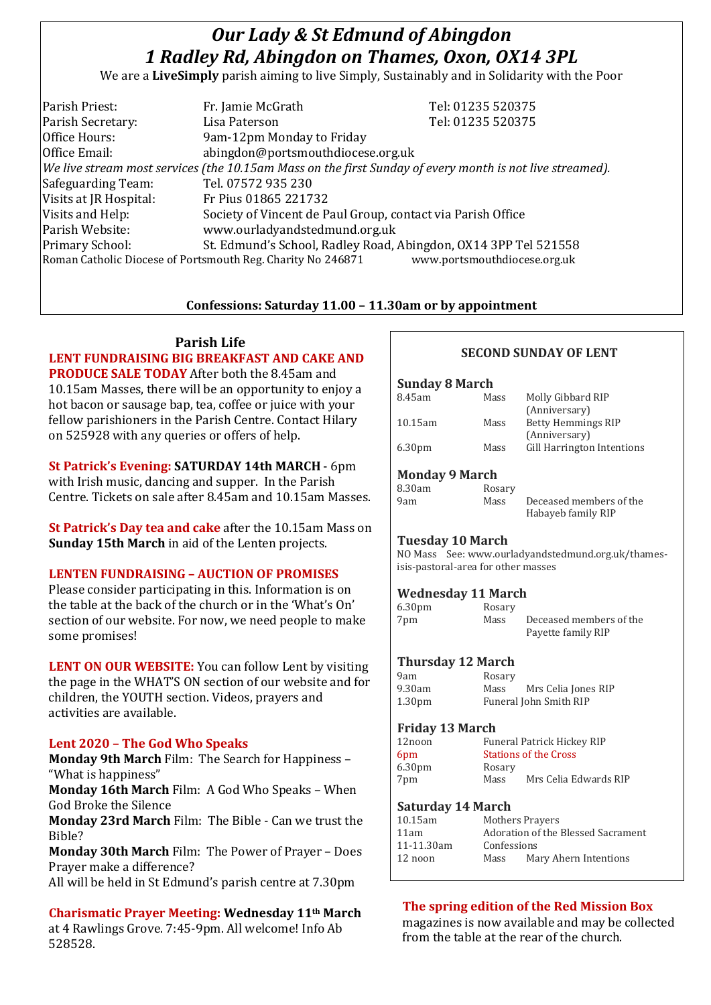# *Our Lady & St Edmund of Abingdon 1 Radley Rd, Abingdon on Thames, Oxon, OX14 3PL*

We are a **LiveSimply** parish aiming to live Simply, Sustainably and in Solidarity with the Poor

| Parish Priest:         | Fr. Jamie McGrath                                                                                        | Tel: 01235 520375            |
|------------------------|----------------------------------------------------------------------------------------------------------|------------------------------|
| Parish Secretary:      | Lisa Paterson                                                                                            | Tel: 01235 520375            |
| Office Hours:          | 9am-12pm Monday to Friday                                                                                |                              |
| Office Email:          | abingdon@portsmouthdiocese.org.uk                                                                        |                              |
|                        | We live stream most services (the 10.15am Mass on the first Sunday of every month is not live streamed). |                              |
| Safeguarding Team:     | Tel. 07572 935 230                                                                                       |                              |
| Visits at JR Hospital: | Fr Pius 01865 221732                                                                                     |                              |
| Visits and Help:       | Society of Vincent de Paul Group, contact via Parish Office                                              |                              |
| Parish Website:        | www.ourladyandstedmund.org.uk                                                                            |                              |
| <b>Primary School:</b> | St. Edmund's School, Radley Road, Abingdon, OX14 3PP Tel 521558                                          |                              |
|                        | Roman Catholic Diocese of Portsmouth Reg. Charity No 246871                                              | www.portsmouthdiocese.org.uk |
|                        |                                                                                                          |                              |

# **Confessions: Saturday 11.00 – 11.30am or by appointment**

#### **Parish Life**

# **LENT FUNDRAISING BIG BREAKFAST AND CAKE AND PRODUCE SALE TODAY** After both the 8.45am and

10.15am Masses, there will be an opportunity to enjoy a hot bacon or sausage bap, tea, coffee or juice with your fellow parishioners in the Parish Centre. Contact Hilary on 525928 with any queries or offers of help.

**St Patrick's Evening: SATURDAY 14th MARCH** - 6pm with Irish music, dancing and supper. In the Parish Centre. Tickets on sale after 8.45am and 10.15am Masses.

**St Patrick's Day tea and cake** after the 10.15am Mass on **Sunday 15th March** in aid of the Lenten projects.

#### **LENTEN FUNDRAISING – AUCTION OF PROMISES**

Please consider participating in this. Information is on the table at the back of the church or in the 'What's On' section of our website. For now, we need people to make some promises!

**LENT ON OUR WEBSITE:** You can follow Lent by visiting the page in the WHAT'S ON section of our website and for children, the YOUTH section. Videos, prayers and activities are available.

# **Lent 2020 – The God Who Speaks**

**Monday 9th March** Film: The Search for Happiness – "What is happiness"

**Monday 16th March** Film: A God Who Speaks – When God Broke the Silence

**Monday 23rd March** Film: The Bible - Can we trust the Bible?

**Monday 30th March** Film: The Power of Prayer – Does Prayer make a difference?

All will be held in St Edmund's parish centre at 7.30pm

**Charismatic Prayer Meeting: Wednesday 11th March** at 4 Rawlings Grove. 7:45-9pm. All welcome! Info Ab 528528.

# **SECOND SUNDAY OF LENT**

#### **Sunday 8 March**

| Mass | Molly Gibbard RIP          |
|------|----------------------------|
|      | (Anniversary)              |
| Mass | <b>Betty Hemmings RIP</b>  |
|      | (Anniversary)              |
| Mass | Gill Harrington Intentions |
|      |                            |
|      |                            |

#### **Monday 9 March**

| 8.30am | Rosary |                         |
|--------|--------|-------------------------|
| 9am    | Mass   | Deceased members of the |
|        |        | Habayeb family RIP      |

#### **Tuesday 10 March**

NO Mass See: www.ourladyandstedmund.org.uk/thamesisis-pastoral-area for other masses

# **Wednesday 11 March**

| 6.30 <sub>pm</sub> | Rosary |                         |
|--------------------|--------|-------------------------|
| 7pm                | Mass   | Deceased members of the |
|                    |        | Payette family RIP      |

# **Thursday 12 March**

| 9am                | Rosary |                        |
|--------------------|--------|------------------------|
| 9.30am             | Mass   | Mrs Celia Jones RIP    |
| 1.30 <sub>pm</sub> |        | Funeral John Smith RIP |

#### **Friday 13 March**

| 12noon             |        | <b>Funeral Patrick Hickey RIP</b> |
|--------------------|--------|-----------------------------------|
| 6 <sub>pm</sub>    |        | <b>Stations of the Cross</b>      |
| 6.30 <sub>pm</sub> | Rosary |                                   |
| 7pm                | Mass   | Mrs Celia Edwards RIP             |
|                    |        |                                   |

#### **Saturday 14 March**

| 10.15am    |             | Mothers Prayers                    |  |
|------------|-------------|------------------------------------|--|
| 11am       |             | Adoration of the Blessed Sacrament |  |
| 11-11.30am | Confessions |                                    |  |
| 12 noon    | Mass        | Mary Ahern Intentions              |  |
|            |             |                                    |  |

# **The spring edition of the Red Mission Box**

magazines is now available and may be collected from the table at the rear of the church.